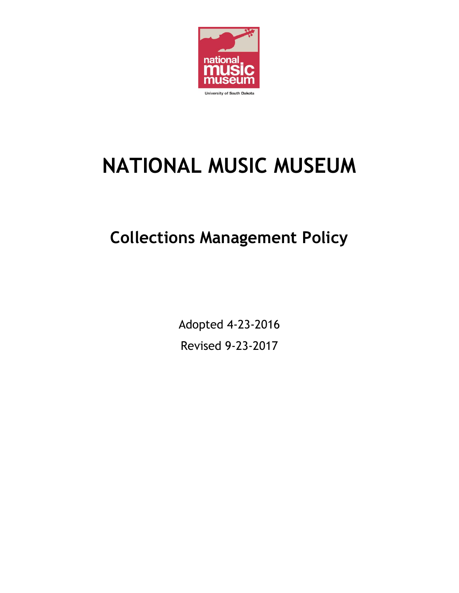

# **NATIONAL MUSIC MUSEUM**

# **Collections Management Policy**

Adopted 4-23-2016 Revised 9-23-2017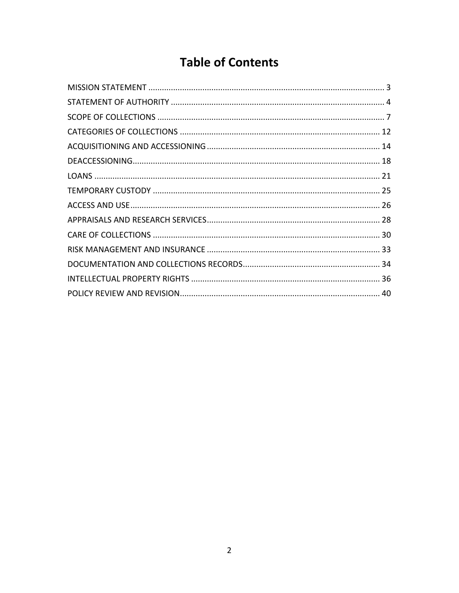# **Table of Contents**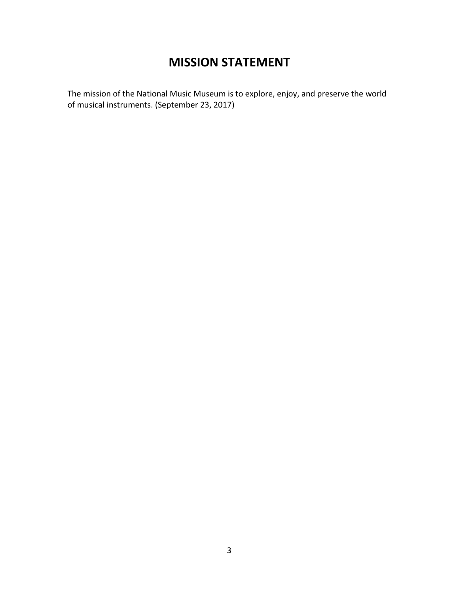## **MISSION STATEMENT**

<span id="page-2-0"></span>The mission of the National Music Museum is to explore, enjoy, and preserve the world of musical instruments. (September 23, 2017)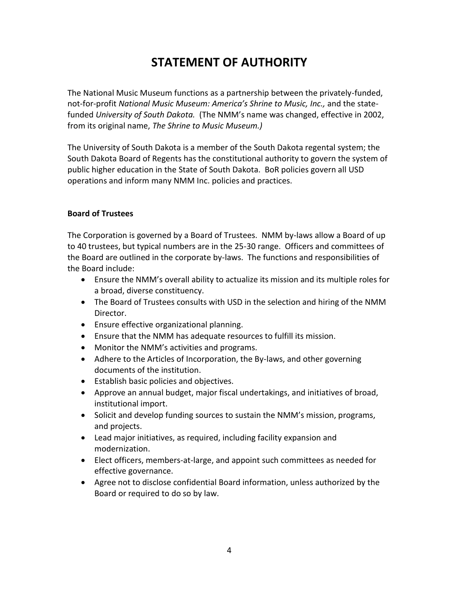# **STATEMENT OF AUTHORITY**

<span id="page-3-0"></span>The National Music Museum functions as a partnership between the privately-funded, not-for-profit *National Music Museum: America's Shrine to Music, Inc.,* and the statefunded *University of South Dakota.* (The NMM's name was changed, effective in 2002, from its original name, *The Shrine to Music Museum.)*

The University of South Dakota is a member of the South Dakota regental system; the South Dakota Board of Regents has the constitutional authority to govern the system of public higher education in the State of South Dakota. BoR policies govern all USD operations and inform many NMM Inc. policies and practices.

#### **Board of Trustees**

The Corporation is governed by a Board of Trustees. NMM by-laws allow a Board of up to 40 trustees, but typical numbers are in the 25-30 range. Officers and committees of the Board are outlined in the corporate by-laws. The functions and responsibilities of the Board include:

- Ensure the NMM's overall ability to actualize its mission and its multiple roles for a broad, diverse constituency.
- The Board of Trustees consults with USD in the selection and hiring of the NMM Director.
- Ensure effective organizational planning.
- Ensure that the NMM has adequate resources to fulfill its mission.
- Monitor the NMM's activities and programs.
- Adhere to the Articles of Incorporation, the By-laws, and other governing documents of the institution.
- Establish basic policies and objectives.
- Approve an annual budget, major fiscal undertakings, and initiatives of broad, institutional import.
- Solicit and develop funding sources to sustain the NMM's mission, programs, and projects.
- Lead major initiatives, as required, including facility expansion and modernization.
- Elect officers, members-at-large, and appoint such committees as needed for effective governance.
- Agree not to disclose confidential Board information, unless authorized by the Board or required to do so by law.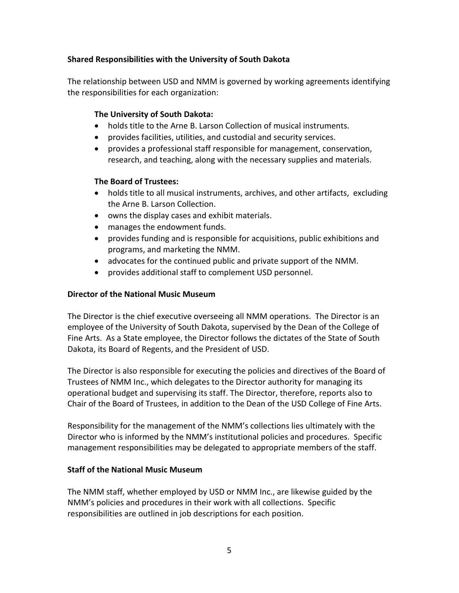#### **Shared Responsibilities with the University of South Dakota**

The relationship between USD and NMM is governed by working agreements identifying the responsibilities for each organization:

#### **The University of South Dakota:**

- holds title to the Arne B. Larson Collection of musical instruments.
- provides facilities, utilities, and custodial and security services.
- provides a professional staff responsible for management, conservation, research, and teaching, along with the necessary supplies and materials.

#### **The Board of Trustees:**

- holds title to all musical instruments, archives, and other artifacts, excluding the Arne B. Larson Collection.
- owns the display cases and exhibit materials.
- manages the endowment funds.
- provides funding and is responsible for acquisitions, public exhibitions and programs, and marketing the NMM.
- advocates for the continued public and private support of the NMM.
- provides additional staff to complement USD personnel.

#### **Director of the National Music Museum**

The Director is the chief executive overseeing all NMM operations. The Director is an employee of the University of South Dakota, supervised by the Dean of the College of Fine Arts. As a State employee, the Director follows the dictates of the State of South Dakota, its Board of Regents, and the President of USD.

The Director is also responsible for executing the policies and directives of the Board of Trustees of NMM Inc., which delegates to the Director authority for managing its operational budget and supervising its staff. The Director, therefore, reports also to Chair of the Board of Trustees, in addition to the Dean of the USD College of Fine Arts.

Responsibility for the management of the NMM's collections lies ultimately with the Director who is informed by the NMM's institutional policies and procedures. Specific management responsibilities may be delegated to appropriate members of the staff.

#### **Staff of the National Music Museum**

The NMM staff, whether employed by USD or NMM Inc., are likewise guided by the NMM's policies and procedures in their work with all collections. Specific responsibilities are outlined in job descriptions for each position.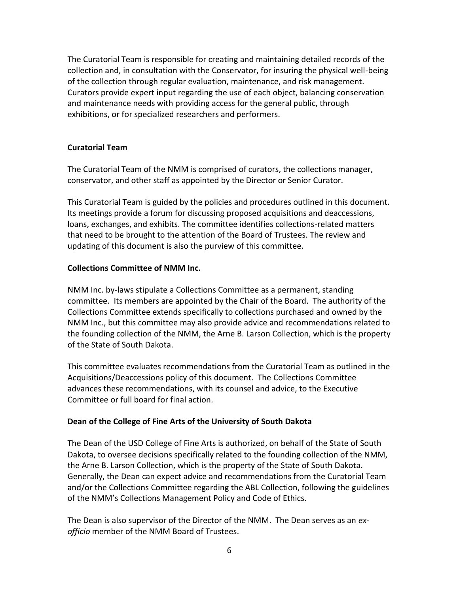The Curatorial Team is responsible for creating and maintaining detailed records of the collection and, in consultation with the Conservator, for insuring the physical well-being of the collection through regular evaluation, maintenance, and risk management. Curators provide expert input regarding the use of each object, balancing conservation and maintenance needs with providing access for the general public, through exhibitions, or for specialized researchers and performers.

#### **Curatorial Team**

The Curatorial Team of the NMM is comprised of curators, the collections manager, conservator, and other staff as appointed by the Director or Senior Curator.

This Curatorial Team is guided by the policies and procedures outlined in this document. Its meetings provide a forum for discussing proposed acquisitions and deaccessions, loans, exchanges, and exhibits. The committee identifies collections-related matters that need to be brought to the attention of the Board of Trustees. The review and updating of this document is also the purview of this committee.

#### **Collections Committee of NMM Inc.**

NMM Inc. by-laws stipulate a Collections Committee as a permanent, standing committee. Its members are appointed by the Chair of the Board. The authority of the Collections Committee extends specifically to collections purchased and owned by the NMM Inc., but this committee may also provide advice and recommendations related to the founding collection of the NMM, the Arne B. Larson Collection, which is the property of the State of South Dakota.

This committee evaluates recommendations from the Curatorial Team as outlined in the Acquisitions/Deaccessions policy of this document. The Collections Committee advances these recommendations, with its counsel and advice, to the Executive Committee or full board for final action.

#### **Dean of the College of Fine Arts of the University of South Dakota**

The Dean of the USD College of Fine Arts is authorized, on behalf of the State of South Dakota, to oversee decisions specifically related to the founding collection of the NMM, the Arne B. Larson Collection, which is the property of the State of South Dakota. Generally, the Dean can expect advice and recommendations from the Curatorial Team and/or the Collections Committee regarding the ABL Collection, following the guidelines of the NMM's Collections Management Policy and Code of Ethics.

The Dean is also supervisor of the Director of the NMM. The Dean serves as an *exofficio* member of the NMM Board of Trustees.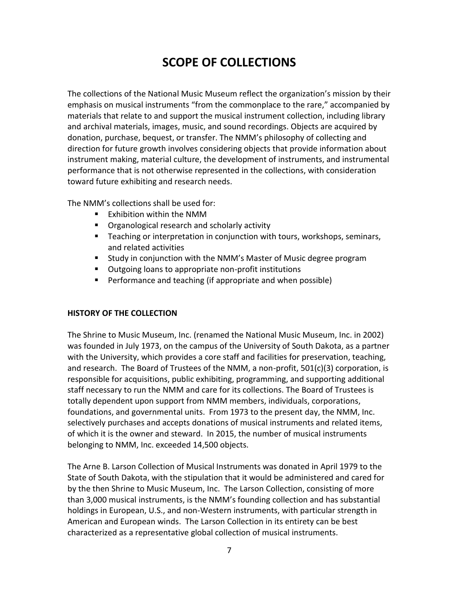# **SCOPE OF COLLECTIONS**

<span id="page-6-0"></span>The collections of the National Music Museum reflect the organization's mission by their emphasis on musical instruments "from the commonplace to the rare," accompanied by materials that relate to and support the musical instrument collection, including library and archival materials, images, music, and sound recordings. Objects are acquired by donation, purchase, bequest, or transfer. The NMM's philosophy of collecting and direction for future growth involves considering objects that provide information about instrument making, material culture, the development of instruments, and instrumental performance that is not otherwise represented in the collections, with consideration toward future exhibiting and research needs.

The NMM's collections shall be used for:

- **Exhibition within the NMM**
- **Diamological research and scholarly activity**
- **Teaching or interpretation in conjunction with tours, workshops, seminars,** and related activities
- **E** Study in conjunction with the NMM's Master of Music degree program
- **Dutgoing loans to appropriate non-profit institutions**
- **Performance and teaching (if appropriate and when possible)**

#### **HISTORY OF THE COLLECTION**

The Shrine to Music Museum, Inc. (renamed the National Music Museum, Inc. in 2002) was founded in July 1973, on the campus of the University of South Dakota, as a partner with the University, which provides a core staff and facilities for preservation, teaching, and research. The Board of Trustees of the NMM, a non-profit,  $501(c)(3)$  corporation, is responsible for acquisitions, public exhibiting, programming, and supporting additional staff necessary to run the NMM and care for its collections. The Board of Trustees is totally dependent upon support from NMM members, individuals, corporations, foundations, and governmental units. From 1973 to the present day, the NMM, Inc. selectively purchases and accepts donations of musical instruments and related items, of which it is the owner and steward. In 2015, the number of musical instruments belonging to NMM, Inc. exceeded 14,500 objects.

The Arne B. Larson Collection of Musical Instruments was donated in April 1979 to the State of South Dakota, with the stipulation that it would be administered and cared for by the then Shrine to Music Museum, Inc. The Larson Collection, consisting of more than 3,000 musical instruments, is the NMM's founding collection and has substantial holdings in European, U.S., and non-Western instruments, with particular strength in American and European winds. The Larson Collection in its entirety can be best characterized as a representative global collection of musical instruments.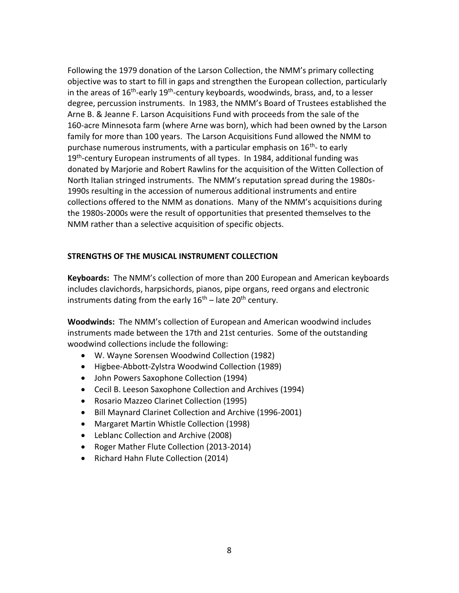Following the 1979 donation of the Larson Collection, the NMM's primary collecting objective was to start to fill in gaps and strengthen the European collection, particularly in the areas of 16<sup>th</sup>-early 19<sup>th</sup>-century keyboards, woodwinds, brass, and, to a lesser degree, percussion instruments. In 1983, the NMM's Board of Trustees established the Arne B. & Jeanne F. Larson Acquisitions Fund with proceeds from the sale of the 160-acre Minnesota farm (where Arne was born), which had been owned by the Larson family for more than 100 years. The Larson Acquisitions Fund allowed the NMM to purchase numerous instruments, with a particular emphasis on 16<sup>th</sup>-to early 19<sup>th</sup>-century European instruments of all types. In 1984, additional funding was donated by Marjorie and Robert Rawlins for the acquisition of the Witten Collection of North Italian stringed instruments. The NMM's reputation spread during the 1980s-1990s resulting in the accession of numerous additional instruments and entire collections offered to the NMM as donations. Many of the NMM's acquisitions during the 1980s-2000s were the result of opportunities that presented themselves to the NMM rather than a selective acquisition of specific objects.

#### **STRENGTHS OF THE MUSICAL INSTRUMENT COLLECTION**

**Keyboards:** The NMM's collection of more than 200 European and American keyboards includes clavichords, harpsichords, pianos, pipe organs, reed organs and electronic instruments dating from the early  $16<sup>th</sup>$  – late 20<sup>th</sup> century.

**Woodwinds:** The NMM's collection of European and American woodwind includes instruments made between the 17th and 21st centuries. Some of the outstanding woodwind collections include the following:

- W. Wayne Sorensen Woodwind Collection (1982)
- Higbee-Abbott-Zylstra Woodwind Collection (1989)
- John Powers Saxophone Collection (1994)
- Cecil B. Leeson Saxophone Collection and Archives (1994)
- Rosario Mazzeo Clarinet Collection (1995)
- Bill Maynard Clarinet Collection and Archive (1996-2001)
- Margaret Martin Whistle Collection (1998)
- Leblanc Collection and Archive (2008)
- Roger Mather Flute Collection (2013-2014)
- Richard Hahn Flute Collection (2014)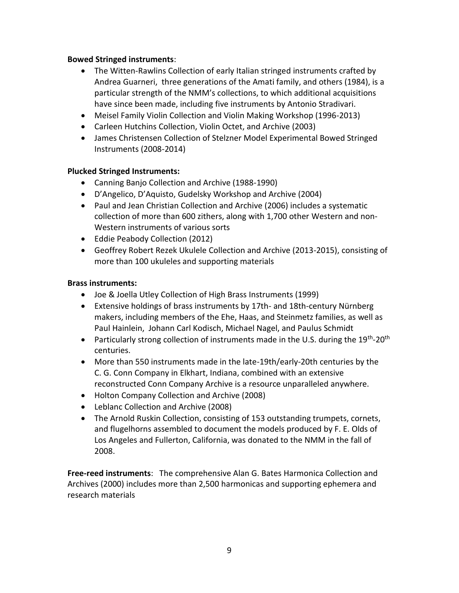#### **Bowed Stringed instruments**:

- The Witten-Rawlins Collection of early Italian stringed instruments crafted by Andrea Guarneri, three generations of the Amati family, and others (1984), is a particular strength of the NMM's collections, to which additional acquisitions have since been made, including five instruments by Antonio Stradivari.
- Meisel Family Violin Collection and Violin Making Workshop (1996-2013)
- Carleen Hutchins Collection, Violin Octet, and Archive (2003)
- James Christensen Collection of Stelzner Model Experimental Bowed Stringed Instruments (2008-2014)

#### **Plucked Stringed Instruments:**

- Canning Banjo Collection and Archive (1988-1990)
- D'Angelico, D'Aquisto, Gudelsky Workshop and Archive (2004)
- Paul and Jean Christian Collection and Archive (2006) includes a systematic collection of more than 600 zithers, along with 1,700 other Western and non-Western instruments of various sorts
- Eddie Peabody Collection (2012)
- Geoffrey Robert Rezek Ukulele Collection and Archive (2013-2015), consisting of more than 100 ukuleles and supporting materials

#### **Brass instruments:**

- Joe & Joella Utley Collection of High Brass Instruments (1999)
- Extensive holdings of brass instruments by 17th- and 18th-century Nürnberg makers, including members of the Ehe, Haas, and Steinmetz families, as well as Paul Hainlein, Johann Carl Kodisch, Michael Nagel, and Paulus Schmidt
- Particularly strong collection of instruments made in the U.S. during the 19<sup>th</sup>-20<sup>th</sup> centuries.
- More than 550 instruments made in the late-19th/early-20th centuries by the C. G. Conn Company in Elkhart, Indiana, combined with an extensive reconstructed Conn Company Archive is a resource unparalleled anywhere.
- Holton Company Collection and Archive (2008)
- Leblanc Collection and Archive (2008)
- The Arnold Ruskin Collection, consisting of 153 outstanding trumpets, cornets, and flugelhorns assembled to document the models produced by F. E. Olds of Los Angeles and Fullerton, California, was donated to the NMM in the fall of 2008.

**Free-reed instruments**: The comprehensive Alan G. Bates Harmonica Collection and Archives (2000) includes more than 2,500 harmonicas and supporting ephemera and research materials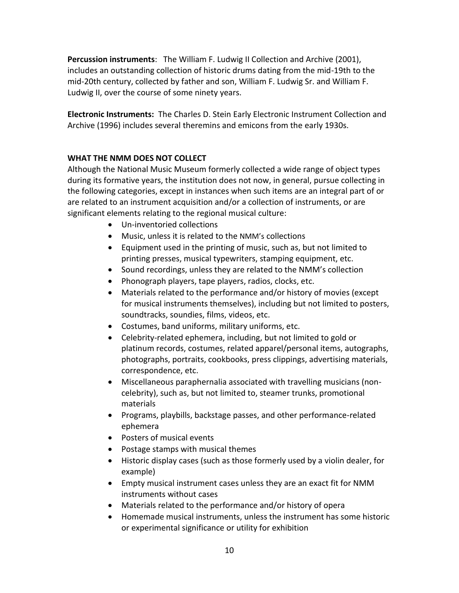**Percussion instruments**: The William F. Ludwig II Collection and Archive (2001), includes an outstanding collection of historic drums dating from the mid-19th to the mid-20th century, collected by father and son, William F. Ludwig Sr. and William F. Ludwig II, over the course of some ninety years.

**Electronic Instruments:** The Charles D. Stein Early Electronic Instrument Collection and Archive (1996) includes several theremins and emicons from the early 1930s.

#### **WHAT THE NMM DOES NOT COLLECT**

Although the National Music Museum formerly collected a wide range of object types during its formative years, the institution does not now, in general, pursue collecting in the following categories, except in instances when such items are an integral part of or are related to an instrument acquisition and/or a collection of instruments, or are significant elements relating to the regional musical culture:

- Un-inventoried collections
- Music, unless it is related to the NMM's collections
- Equipment used in the printing of music, such as, but not limited to printing presses, musical typewriters, stamping equipment, etc.
- Sound recordings, unless they are related to the NMM's collection
- Phonograph players, tape players, radios, clocks, etc.
- Materials related to the performance and/or history of movies (except for musical instruments themselves), including but not limited to posters, soundtracks, soundies, films, videos, etc.
- Costumes, band uniforms, military uniforms, etc.
- Celebrity-related ephemera, including, but not limited to gold or platinum records, costumes, related apparel/personal items, autographs, photographs, portraits, cookbooks, press clippings, advertising materials, correspondence, etc.
- Miscellaneous paraphernalia associated with travelling musicians (noncelebrity), such as, but not limited to, steamer trunks, promotional materials
- Programs, playbills, backstage passes, and other performance-related ephemera
- Posters of musical events
- Postage stamps with musical themes
- Historic display cases (such as those formerly used by a violin dealer, for example)
- Empty musical instrument cases unless they are an exact fit for NMM instruments without cases
- Materials related to the performance and/or history of opera
- Homemade musical instruments, unless the instrument has some historic or experimental significance or utility for exhibition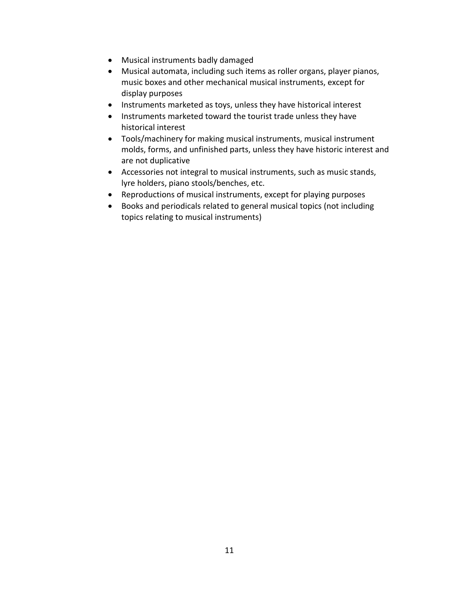- Musical instruments badly damaged
- Musical automata, including such items as roller organs, player pianos, music boxes and other mechanical musical instruments, except for display purposes
- Instruments marketed as toys, unless they have historical interest
- Instruments marketed toward the tourist trade unless they have historical interest
- Tools/machinery for making musical instruments, musical instrument molds, forms, and unfinished parts, unless they have historic interest and are not duplicative
- Accessories not integral to musical instruments, such as music stands, lyre holders, piano stools/benches, etc.
- Reproductions of musical instruments, except for playing purposes
- Books and periodicals related to general musical topics (not including topics relating to musical instruments)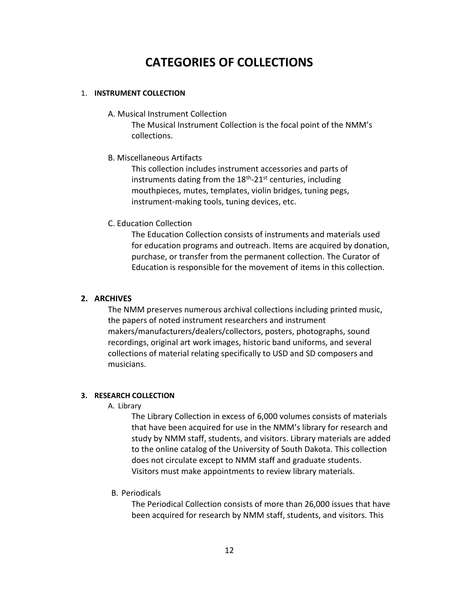# **CATEGORIES OF COLLECTIONS**

#### <span id="page-11-0"></span>1. **INSTRUMENT COLLECTION**

A. Musical Instrument Collection

The Musical Instrument Collection is the focal point of the NMM's collections.

B. Miscellaneous Artifacts

This collection includes instrument accessories and parts of instruments dating from the 18<sup>th</sup>-21<sup>st</sup> centuries, including mouthpieces, mutes, templates, violin bridges, tuning pegs, instrument-making tools, tuning devices, etc.

C. Education Collection

The Education Collection consists of instruments and materials used for education programs and outreach. Items are acquired by donation, purchase, or transfer from the permanent collection. The Curator of Education is responsible for the movement of items in this collection.

#### **2. ARCHIVES**

The NMM preserves numerous archival collections including printed music, the papers of noted instrument researchers and instrument makers/manufacturers/dealers/collectors, posters, photographs, sound recordings, original art work images, historic band uniforms, and several collections of material relating specifically to USD and SD composers and musicians.

#### **3. RESEARCH COLLECTION**

A. Library

The Library Collection in excess of 6,000 volumes consists of materials that have been acquired for use in the NMM's library for research and study by NMM staff, students, and visitors. Library materials are added to the online catalog of the University of South Dakota. This collection does not circulate except to NMM staff and graduate students. Visitors must make appointments to review library materials.

B. Periodicals

The Periodical Collection consists of more than 26,000 issues that have been acquired for research by NMM staff, students, and visitors. This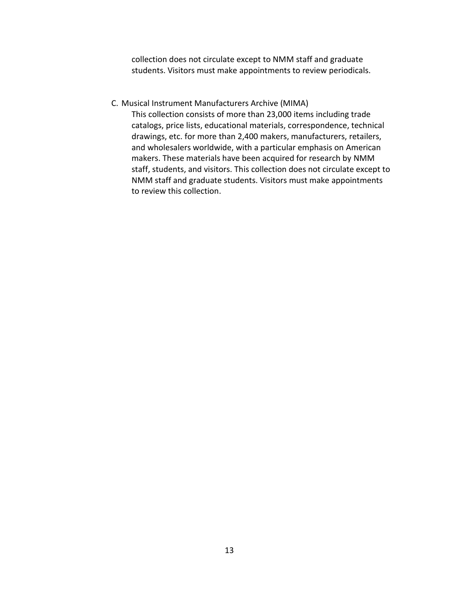collection does not circulate except to NMM staff and graduate students. Visitors must make appointments to review periodicals.

#### C. Musical Instrument Manufacturers Archive (MIMA)

This collection consists of more than 23,000 items including trade catalogs, price lists, educational materials, correspondence, technical drawings, etc. for more than 2,400 makers, manufacturers, retailers, and wholesalers worldwide, with a particular emphasis on American makers. These materials have been acquired for research by NMM staff, students, and visitors. This collection does not circulate except to NMM staff and graduate students. Visitors must make appointments to review this collection.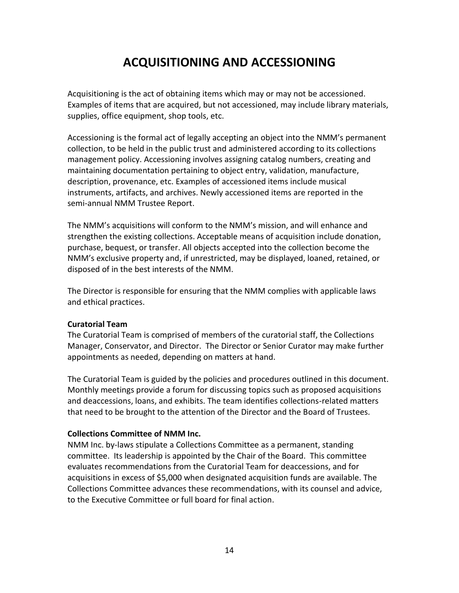# **ACQUISITIONING AND ACCESSIONING**

<span id="page-13-0"></span>Acquisitioning is the act of obtaining items which may or may not be accessioned. Examples of items that are acquired, but not accessioned, may include library materials, supplies, office equipment, shop tools, etc.

Accessioning is the formal act of legally accepting an object into the NMM's permanent collection, to be held in the public trust and administered according to its collections management policy. Accessioning involves assigning catalog numbers, creating and maintaining documentation pertaining to object entry, validation, manufacture, description, provenance, etc. Examples of accessioned items include musical instruments, artifacts, and archives. Newly accessioned items are reported in the semi-annual NMM Trustee Report.

The NMM's acquisitions will conform to the NMM's mission, and will enhance and strengthen the existing collections. Acceptable means of acquisition include donation, purchase, bequest, or transfer. All objects accepted into the collection become the NMM's exclusive property and, if unrestricted, may be displayed, loaned, retained, or disposed of in the best interests of the NMM.

The Director is responsible for ensuring that the NMM complies with applicable laws and ethical practices.

#### **Curatorial Team**

The Curatorial Team is comprised of members of the curatorial staff, the Collections Manager, Conservator, and Director. The Director or Senior Curator may make further appointments as needed, depending on matters at hand.

The Curatorial Team is guided by the policies and procedures outlined in this document. Monthly meetings provide a forum for discussing topics such as proposed acquisitions and deaccessions, loans, and exhibits. The team identifies collections-related matters that need to be brought to the attention of the Director and the Board of Trustees.

#### **Collections Committee of NMM Inc.**

NMM Inc. by-laws stipulate a Collections Committee as a permanent, standing committee. Its leadership is appointed by the Chair of the Board. This committee evaluates recommendations from the Curatorial Team for deaccessions, and for acquisitions in excess of \$5,000 when designated acquisition funds are available. The Collections Committee advances these recommendations, with its counsel and advice, to the Executive Committee or full board for final action.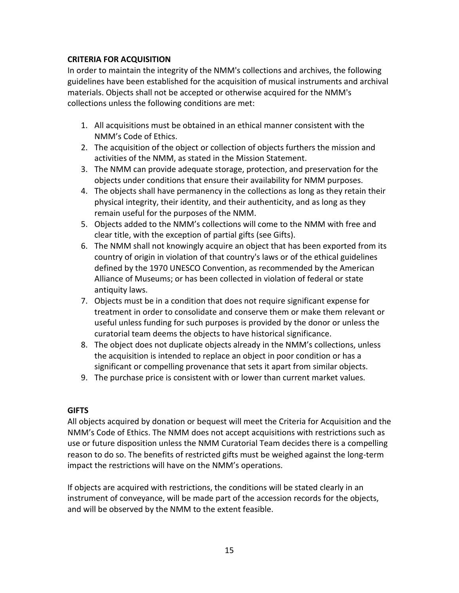#### **CRITERIA FOR ACQUISITION**

In order to maintain the integrity of the NMM's collections and archives, the following guidelines have been established for the acquisition of musical instruments and archival materials. Objects shall not be accepted or otherwise acquired for the NMM's collections unless the following conditions are met:

- 1. All acquisitions must be obtained in an ethical manner consistent with the NMM's Code of Ethics.
- 2. The acquisition of the object or collection of objects furthers the mission and activities of the NMM, as stated in the Mission Statement.
- 3. The NMM can provide adequate storage, protection, and preservation for the objects under conditions that ensure their availability for NMM purposes.
- 4. The objects shall have permanency in the collections as long as they retain their physical integrity, their identity, and their authenticity, and as long as they remain useful for the purposes of the NMM.
- 5. Objects added to the NMM's collections will come to the NMM with free and clear title, with the exception of partial gifts (see Gifts).
- 6. The NMM shall not knowingly acquire an object that has been exported from its country of origin in violation of that country's laws or of the ethical guidelines defined by the 1970 UNESCO Convention, as recommended by the American Alliance of Museums; or has been collected in violation of federal or state antiquity laws.
- 7. Objects must be in a condition that does not require significant expense for treatment in order to consolidate and conserve them or make them relevant or useful unless funding for such purposes is provided by the donor or unless the curatorial team deems the objects to have historical significance.
- 8. The object does not duplicate objects already in the NMM's collections, unless the acquisition is intended to replace an object in poor condition or has a significant or compelling provenance that sets it apart from similar objects.
- 9. The purchase price is consistent with or lower than current market values.

#### **GIFTS**

All objects acquired by donation or bequest will meet the Criteria for Acquisition and the NMM's Code of Ethics. The NMM does not accept acquisitions with restrictions such as use or future disposition unless the NMM Curatorial Team decides there is a compelling reason to do so. The benefits of restricted gifts must be weighed against the long-term impact the restrictions will have on the NMM's operations.

If objects are acquired with restrictions, the conditions will be stated clearly in an instrument of conveyance, will be made part of the accession records for the objects, and will be observed by the NMM to the extent feasible.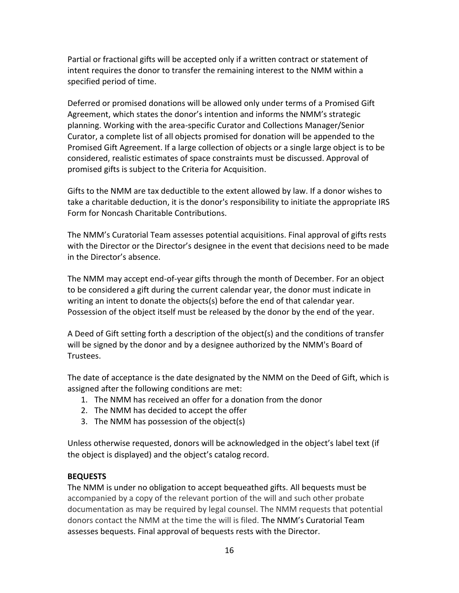Partial or fractional gifts will be accepted only if a written contract or statement of intent requires the donor to transfer the remaining interest to the NMM within a specified period of time.

Deferred or promised donations will be allowed only under terms of a Promised Gift Agreement, which states the donor's intention and informs the NMM's strategic planning. Working with the area-specific Curator and Collections Manager/Senior Curator, a complete list of all objects promised for donation will be appended to the Promised Gift Agreement. If a large collection of objects or a single large object is to be considered, realistic estimates of space constraints must be discussed. Approval of promised gifts is subject to the Criteria for Acquisition.

Gifts to the NMM are tax deductible to the extent allowed by law. If a donor wishes to take a charitable deduction, it is the donor's responsibility to initiate the appropriate IRS Form for Noncash Charitable Contributions.

The NMM's Curatorial Team assesses potential acquisitions. Final approval of gifts rests with the Director or the Director's designee in the event that decisions need to be made in the Director's absence.

The NMM may accept end-of-year gifts through the month of December. For an object to be considered a gift during the current calendar year, the donor must indicate in writing an intent to donate the objects(s) before the end of that calendar year. Possession of the object itself must be released by the donor by the end of the year.

A Deed of Gift setting forth a description of the object(s) and the conditions of transfer will be signed by the donor and by a designee authorized by the NMM's Board of Trustees.

The date of acceptance is the date designated by the NMM on the Deed of Gift, which is assigned after the following conditions are met:

- 1. The NMM has received an offer for a donation from the donor
- 2. The NMM has decided to accept the offer
- 3. The NMM has possession of the object(s)

Unless otherwise requested, donors will be acknowledged in the object's label text (if the object is displayed) and the object's catalog record.

#### **BEQUESTS**

The NMM is under no obligation to accept bequeathed gifts. All bequests must be accompanied by a copy of the relevant portion of the will and such other probate documentation as may be required by legal counsel. The NMM requests that potential donors contact the NMM at the time the will is filed. The NMM's Curatorial Team assesses bequests. Final approval of bequests rests with the Director.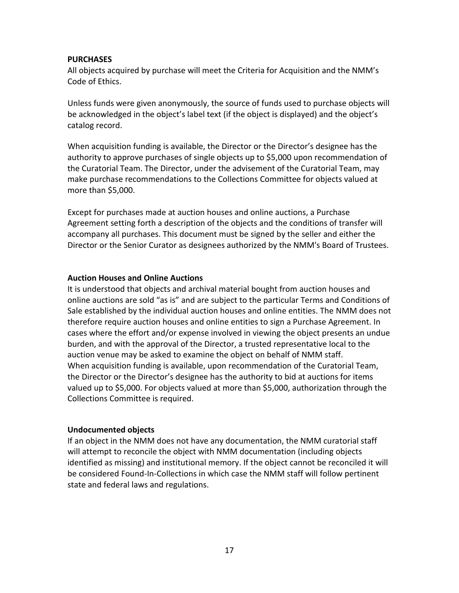#### **PURCHASES**

All objects acquired by purchase will meet the Criteria for Acquisition and the NMM's Code of Ethics.

Unless funds were given anonymously, the source of funds used to purchase objects will be acknowledged in the object's label text (if the object is displayed) and the object's catalog record.

When acquisition funding is available, the Director or the Director's designee has the authority to approve purchases of single objects up to \$5,000 upon recommendation of the Curatorial Team. The Director, under the advisement of the Curatorial Team, may make purchase recommendations to the Collections Committee for objects valued at more than \$5,000.

Except for purchases made at auction houses and online auctions, a Purchase Agreement setting forth a description of the objects and the conditions of transfer will accompany all purchases. This document must be signed by the seller and either the Director or the Senior Curator as designees authorized by the NMM's Board of Trustees.

#### **Auction Houses and Online Auctions**

It is understood that objects and archival material bought from auction houses and online auctions are sold "as is" and are subject to the particular Terms and Conditions of Sale established by the individual auction houses and online entities. The NMM does not therefore require auction houses and online entities to sign a Purchase Agreement. In cases where the effort and/or expense involved in viewing the object presents an undue burden, and with the approval of the Director, a trusted representative local to the auction venue may be asked to examine the object on behalf of NMM staff. When acquisition funding is available, upon recommendation of the Curatorial Team, the Director or the Director's designee has the authority to bid at auctions for items valued up to \$5,000. For objects valued at more than \$5,000, authorization through the Collections Committee is required.

#### **Undocumented objects**

If an object in the NMM does not have any documentation, the NMM curatorial staff will attempt to reconcile the object with NMM documentation (including objects identified as missing) and institutional memory. If the object cannot be reconciled it will be considered Found-In-Collections in which case the NMM staff will follow pertinent state and federal laws and regulations.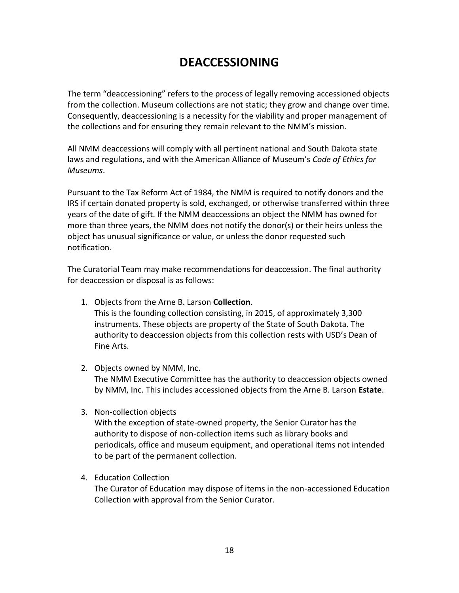# **DEACCESSIONING**

<span id="page-17-0"></span>The term "deaccessioning" refers to the process of legally removing accessioned objects from the collection. Museum collections are not static; they grow and change over time. Consequently, deaccessioning is a necessity for the viability and proper management of the collections and for ensuring they remain relevant to the NMM's mission.

All NMM deaccessions will comply with all pertinent national and South Dakota state laws and regulations, and with the American Alliance of Museum's *Code of Ethics for Museums*.

Pursuant to the Tax Reform Act of 1984, the NMM is required to notify donors and the IRS if certain donated property is sold, exchanged, or otherwise transferred within three years of the date of gift. If the NMM deaccessions an object the NMM has owned for more than three years, the NMM does not notify the donor(s) or their heirs unless the object has unusual significance or value, or unless the donor requested such notification.

The Curatorial Team may make recommendations for deaccession. The final authority for deaccession or disposal is as follows:

- 1. Objects from the Arne B. Larson **Collection**. This is the founding collection consisting, in 2015, of approximately 3,300 instruments. These objects are property of the State of South Dakota. The authority to deaccession objects from this collection rests with USD's Dean of Fine Arts.
- 2. Objects owned by NMM, Inc. The NMM Executive Committee has the authority to deaccession objects owned by NMM, Inc. This includes accessioned objects from the Arne B. Larson **Estate**.
- 3. Non-collection objects

With the exception of state-owned property, the Senior Curator has the authority to dispose of non-collection items such as library books and periodicals, office and museum equipment, and operational items not intended to be part of the permanent collection.

4. Education Collection

The Curator of Education may dispose of items in the non-accessioned Education Collection with approval from the Senior Curator.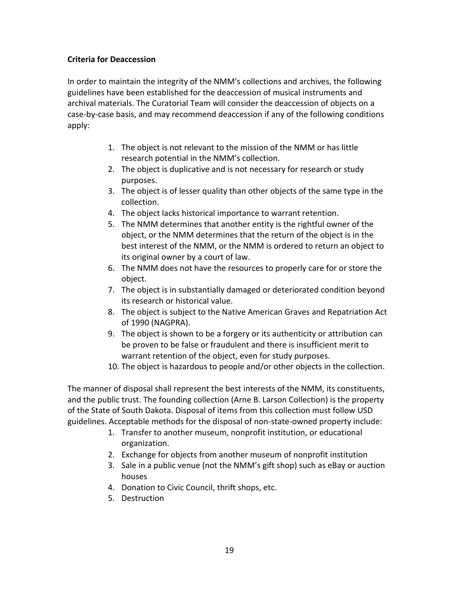#### **Criteria for Deaccession**

In order to maintain the integrity of the NMM's collections and archives, the following guidelines have been established for the deaccession of musical instruments and archival materials. The Curatorial Team will consider the deaccession of objects on a case-by-case basis, and may recommend deaccession if any of the following conditions apply:

- 1. The object is not relevant to the mission of the NMM or has little research potential in the NMM's collection.
- 2. The object is duplicative and is not necessary for research or study purposes.
- 3. The object is of lesser quality than other objects of the same type in the collection.
- 4. The object lacks historical importance to warrant retention.
- 5. The NMM determines that another entity is the rightful owner of the object, or the NMM determines that the return of the object is in the best interest of the NMM, or the NMM is ordered to return an object to its original owner by a court of law.
- 6. The NMM does not have the resources to properly care for or store the object.
- 7. The object is in substantially damaged or deteriorated condition beyond its research or historical value.
- 8. The object is subject to the Native American Graves and Repatriation Act of 1990 (NAGPRA).
- 9. The object is shown to be a forgery or its authenticity or attribution can be proven to be false or fraudulent and there is insufficient merit to warrant retention of the object, even for study purposes.
- 10. The object is hazardous to people and/or other objects in the collection.

The manner of disposal shall represent the best interests of the NMM, its constituents, and the public trust. The founding collection (Arne B. Larson Collection) is the property of the State of South Dakota. Disposal of items from this collection must follow USD guidelines. Acceptable methods for the disposal of non-state-owned property include:

- 1. Transfer to another museum, nonprofit institution, or educational organization.
- 2. Exchange for objects from another museum of nonprofit institution
- 3. Sale in a public venue (not the NMM's gift shop) such as eBay or auction houses
- 4. Donation to Civic Council, thrift shops, etc.
- 5. Destruction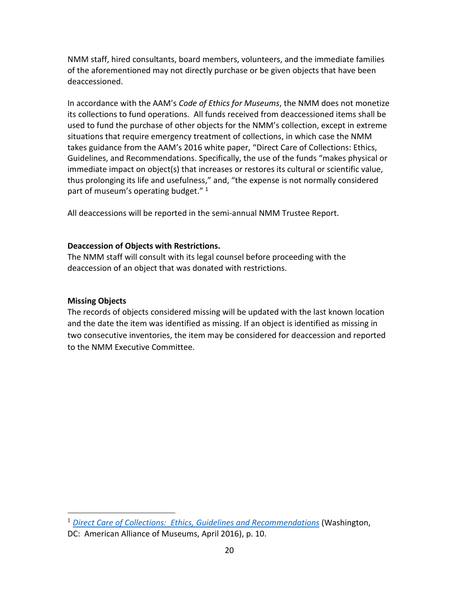NMM staff, hired consultants, board members, volunteers, and the immediate families of the aforementioned may not directly purchase or be given objects that have been deaccessioned.

In accordance with the AAM's *Code of Ethics for Museums*, the NMM does not monetize its collections to fund operations. All funds received from deaccessioned items shall be used to fund the purchase of other objects for the NMM's collection, except in extreme situations that require emergency treatment of collections, in which case the NMM takes guidance from the AAM's 2016 white paper, "Direct Care of Collections: Ethics, Guidelines, and Recommendations. Specifically, the use of the funds "makes physical or immediate impact on object(s) that increases or restores its cultural or scientific value, thus prolonging its life and usefulness," and, "the expense is not normally considered part of museum's operating budget."<sup>1</sup>

All deaccessions will be reported in the semi-annual NMM Trustee Report.

#### **Deaccession of Objects with Restrictions.**

The NMM staff will consult with its legal counsel before proceeding with the deaccession of an object that was donated with restrictions.

#### **Missing Objects**

 $\overline{a}$ 

The records of objects considered missing will be updated with the last known location and the date the item was identified as missing. If an object is identified as missing in two consecutive inventories, the item may be considered for deaccession and reported to the NMM Executive Committee.

<sup>1</sup> *Direct Care of Collections: [Ethics, Guidelines and Recommendations](http://www.aam-us.org/docs/default-source/default-document-library/direct-care-of-collections-ethics-guidelines-and-recommendations-pdf.pdf?sfvrsn=10)* (Washington,

DC: American Alliance of Museums, April 2016), p. 10.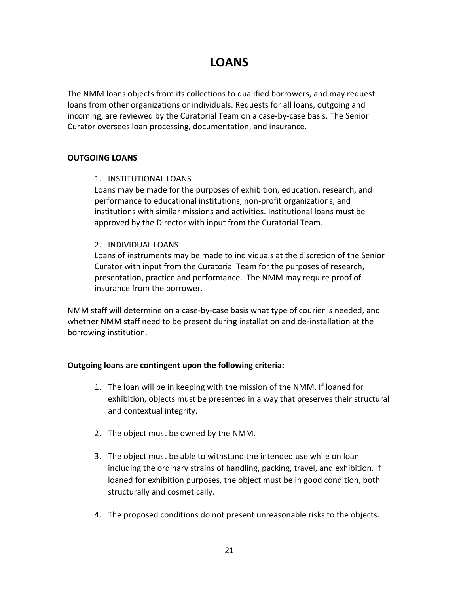# **LOANS**

<span id="page-20-0"></span>The NMM loans objects from its collections to qualified borrowers, and may request loans from other organizations or individuals. Requests for all loans, outgoing and incoming, are reviewed by the Curatorial Team on a case-by-case basis. The Senior Curator oversees loan processing, documentation, and insurance.

#### **OUTGOING LOANS**

#### 1. INSTITUTIONAL LOANS

Loans may be made for the purposes of exhibition, education, research, and performance to educational institutions, non-profit organizations, and institutions with similar missions and activities. Institutional loans must be approved by the Director with input from the Curatorial Team.

#### 2. INDIVIDUAL LOANS

Loans of instruments may be made to individuals at the discretion of the Senior Curator with input from the Curatorial Team for the purposes of research, presentation, practice and performance. The NMM may require proof of insurance from the borrower.

NMM staff will determine on a case-by-case basis what type of courier is needed, and whether NMM staff need to be present during installation and de-installation at the borrowing institution.

#### **Outgoing loans are contingent upon the following criteria:**

- 1. The loan will be in keeping with the mission of the NMM. If loaned for exhibition, objects must be presented in a way that preserves their structural and contextual integrity.
- 2. The object must be owned by the NMM.
- 3. The object must be able to withstand the intended use while on loan including the ordinary strains of handling, packing, travel, and exhibition. If loaned for exhibition purposes, the object must be in good condition, both structurally and cosmetically.
- 4. The proposed conditions do not present unreasonable risks to the objects.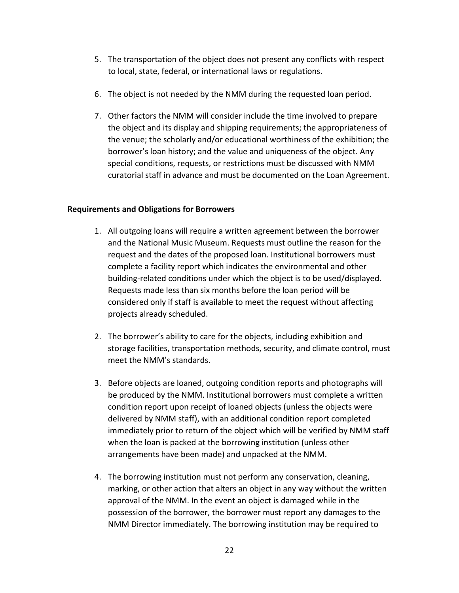- 5. The transportation of the object does not present any conflicts with respect to local, state, federal, or international laws or regulations.
- 6. The object is not needed by the NMM during the requested loan period.
- 7. Other factors the NMM will consider include the time involved to prepare the object and its display and shipping requirements; the appropriateness of the venue; the scholarly and/or educational worthiness of the exhibition; the borrower's loan history; and the value and uniqueness of the object. Any special conditions, requests, or restrictions must be discussed with NMM curatorial staff in advance and must be documented on the Loan Agreement.

#### **Requirements and Obligations for Borrowers**

- 1. All outgoing loans will require a written agreement between the borrower and the National Music Museum. Requests must outline the reason for the request and the dates of the proposed loan. Institutional borrowers must complete a facility report which indicates the environmental and other building-related conditions under which the object is to be used/displayed. Requests made less than six months before the loan period will be considered only if staff is available to meet the request without affecting projects already scheduled.
- 2. The borrower's ability to care for the objects, including exhibition and storage facilities, transportation methods, security, and climate control, must meet the NMM's standards.
- 3. Before objects are loaned, outgoing condition reports and photographs will be produced by the NMM. Institutional borrowers must complete a written condition report upon receipt of loaned objects (unless the objects were delivered by NMM staff), with an additional condition report completed immediately prior to return of the object which will be verified by NMM staff when the loan is packed at the borrowing institution (unless other arrangements have been made) and unpacked at the NMM.
- 4. The borrowing institution must not perform any conservation, cleaning, marking, or other action that alters an object in any way without the written approval of the NMM. In the event an object is damaged while in the possession of the borrower, the borrower must report any damages to the NMM Director immediately. The borrowing institution may be required to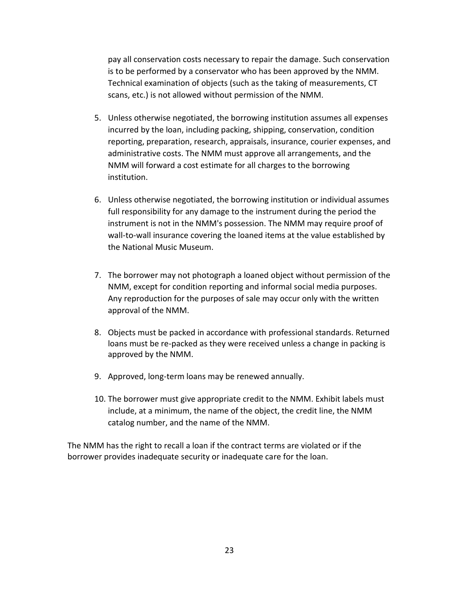pay all conservation costs necessary to repair the damage. Such conservation is to be performed by a conservator who has been approved by the NMM. Technical examination of objects (such as the taking of measurements, CT scans, etc.) is not allowed without permission of the NMM.

- 5. Unless otherwise negotiated, the borrowing institution assumes all expenses incurred by the loan, including packing, shipping, conservation, condition reporting, preparation, research, appraisals, insurance, courier expenses, and administrative costs. The NMM must approve all arrangements, and the NMM will forward a cost estimate for all charges to the borrowing institution.
- 6. Unless otherwise negotiated, the borrowing institution or individual assumes full responsibility for any damage to the instrument during the period the instrument is not in the NMM's possession. The NMM may require proof of wall-to-wall insurance covering the loaned items at the value established by the National Music Museum.
- 7. The borrower may not photograph a loaned object without permission of the NMM, except for condition reporting and informal social media purposes. Any reproduction for the purposes of sale may occur only with the written approval of the NMM.
- 8. Objects must be packed in accordance with professional standards. Returned loans must be re-packed as they were received unless a change in packing is approved by the NMM.
- 9. Approved, long-term loans may be renewed annually.
- 10. The borrower must give appropriate credit to the NMM. Exhibit labels must include, at a minimum, the name of the object, the credit line, the NMM catalog number, and the name of the NMM.

The NMM has the right to recall a loan if the contract terms are violated or if the borrower provides inadequate security or inadequate care for the loan.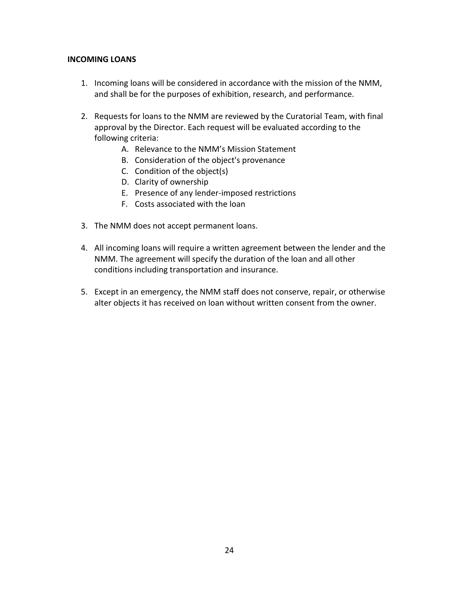#### **INCOMING LOANS**

- 1. Incoming loans will be considered in accordance with the mission of the NMM, and shall be for the purposes of exhibition, research, and performance.
- 2. Requests for loans to the NMM are reviewed by the Curatorial Team, with final approval by the Director. Each request will be evaluated according to the following criteria:
	- A. Relevance to the NMM's Mission Statement
	- B. Consideration of the object's provenance
	- C. Condition of the object(s)
	- D. Clarity of ownership
	- E. Presence of any lender-imposed restrictions
	- F. Costs associated with the loan
- 3. The NMM does not accept permanent loans.
- 4. All incoming loans will require a written agreement between the lender and the NMM. The agreement will specify the duration of the loan and all other conditions including transportation and insurance.
- 5. Except in an emergency, the NMM staff does not conserve, repair, or otherwise alter objects it has received on loan without written consent from the owner.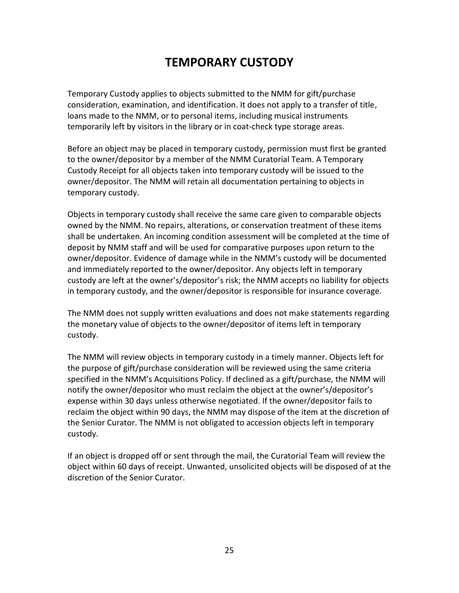# **TEMPORARY CUSTODY**

<span id="page-24-0"></span>Temporary Custody applies to objects submitted to the NMM for gift/purchase consideration, examination, and identification. It does not apply to a transfer of title, loans made to the NMM, or to personal items, including musical instruments temporarily left by visitors in the library or in coat-check type storage areas.

Before an object may be placed in temporary custody, permission must first be granted to the owner/depositor by a member of the NMM Curatorial Team. A Temporary Custody Receipt for all objects taken into temporary custody will be issued to the owner/depositor. The NMM will retain all documentation pertaining to objects in temporary custody.

Objects in temporary custody shall receive the same care given to comparable objects owned by the NMM. No repairs, alterations, or conservation treatment of these items shall be undertaken. An incoming condition assessment will be completed at the time of deposit by NMM staff and will be used for comparative purposes upon return to the owner/depositor. Evidence of damage while in the NMM's custody will be documented and immediately reported to the owner/depositor. Any objects left in temporary custody are left at the owner's/depositor's risk; the NMM accepts no liability for objects in temporary custody, and the owner/depositor is responsible for insurance coverage.

The NMM does not supply written evaluations and does not make statements regarding the monetary value of objects to the owner/depositor of items left in temporary custody.

The NMM will review objects in temporary custody in a timely manner. Objects left for the purpose of gift/purchase consideration will be reviewed using the same criteria specified in the NMM's Acquisitions Policy. If declined as a gift/purchase, the NMM will notify the owner/depositor who must reclaim the object at the owner's/depositor's expense within 30 days unless otherwise negotiated. If the owner/depositor fails to reclaim the object within 90 days, the NMM may dispose of the item at the discretion of the Senior Curator. The NMM is not obligated to accession objects left in temporary custody.

If an object is dropped off or sent through the mail, the Curatorial Team will review the object within 60 days of receipt. Unwanted, unsolicited objects will be disposed of at the discretion of the Senior Curator.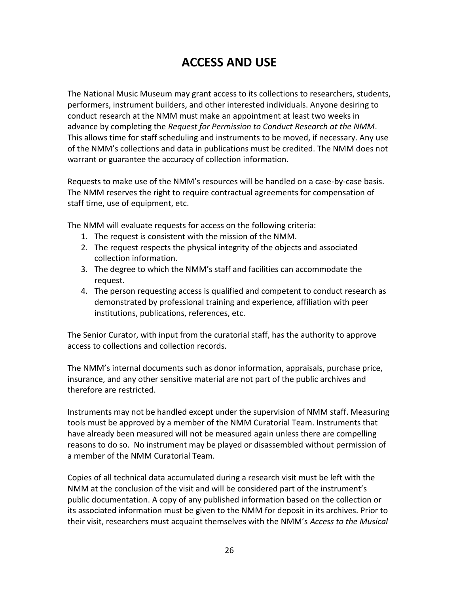# **ACCESS AND USE**

<span id="page-25-0"></span>The National Music Museum may grant access to its collections to researchers, students, performers, instrument builders, and other interested individuals. Anyone desiring to conduct research at the NMM must make an appointment at least two weeks in advance by completing the *Request for Permission to Conduct Research at the NMM*. This allows time for staff scheduling and instruments to be moved, if necessary. Any use of the NMM's collections and data in publications must be credited. The NMM does not warrant or guarantee the accuracy of collection information.

Requests to make use of the NMM's resources will be handled on a case-by-case basis. The NMM reserves the right to require contractual agreements for compensation of staff time, use of equipment, etc.

The NMM will evaluate requests for access on the following criteria:

- 1. The request is consistent with the mission of the NMM.
- 2. The request respects the physical integrity of the objects and associated collection information.
- 3. The degree to which the NMM's staff and facilities can accommodate the request.
- 4. The person requesting access is qualified and competent to conduct research as demonstrated by professional training and experience, affiliation with peer institutions, publications, references, etc.

The Senior Curator, with input from the curatorial staff, has the authority to approve access to collections and collection records.

The NMM's internal documents such as donor information, appraisals, purchase price, insurance, and any other sensitive material are not part of the public archives and therefore are restricted.

Instruments may not be handled except under the supervision of NMM staff. Measuring tools must be approved by a member of the NMM Curatorial Team. Instruments that have already been measured will not be measured again unless there are compelling reasons to do so. No instrument may be played or disassembled without permission of a member of the NMM Curatorial Team.

Copies of all technical data accumulated during a research visit must be left with the NMM at the conclusion of the visit and will be considered part of the instrument's public documentation. A copy of any published information based on the collection or its associated information must be given to the NMM for deposit in its archives. Prior to their visit, researchers must acquaint themselves with the NMM's *Access to the Musical*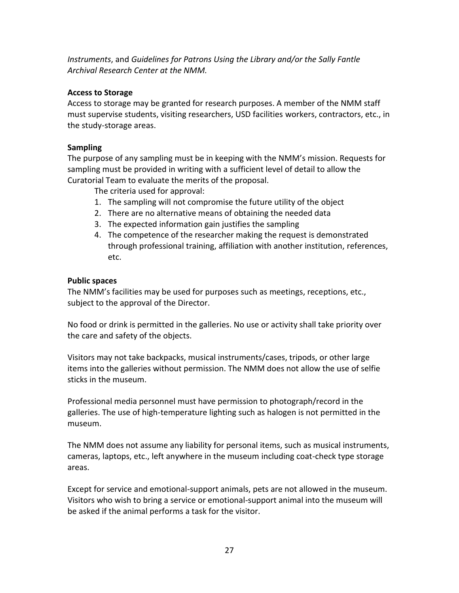*Instruments*, and *Guidelines for Patrons Using the Library and/or the Sally Fantle Archival Research Center at the NMM.*

#### **Access to Storage**

Access to storage may be granted for research purposes. A member of the NMM staff must supervise students, visiting researchers, USD facilities workers, contractors, etc., in the study-storage areas.

#### **Sampling**

The purpose of any sampling must be in keeping with the NMM's mission. Requests for sampling must be provided in writing with a sufficient level of detail to allow the Curatorial Team to evaluate the merits of the proposal.

The criteria used for approval:

- 1. The sampling will not compromise the future utility of the object
- 2. There are no alternative means of obtaining the needed data
- 3. The expected information gain justifies the sampling
- 4. The competence of the researcher making the request is demonstrated through professional training, affiliation with another institution, references, etc.

#### **Public spaces**

The NMM's facilities may be used for purposes such as meetings, receptions, etc., subject to the approval of the Director.

No food or drink is permitted in the galleries. No use or activity shall take priority over the care and safety of the objects.

Visitors may not take backpacks, musical instruments/cases, tripods, or other large items into the galleries without permission. The NMM does not allow the use of selfie sticks in the museum.

Professional media personnel must have permission to photograph/record in the galleries. The use of high-temperature lighting such as halogen is not permitted in the museum.

The NMM does not assume any liability for personal items, such as musical instruments, cameras, laptops, etc., left anywhere in the museum including coat-check type storage areas.

Except for service and emotional-support animals, pets are not allowed in the museum. Visitors who wish to bring a service or emotional-support animal into the museum will be asked if the animal performs a task for the visitor.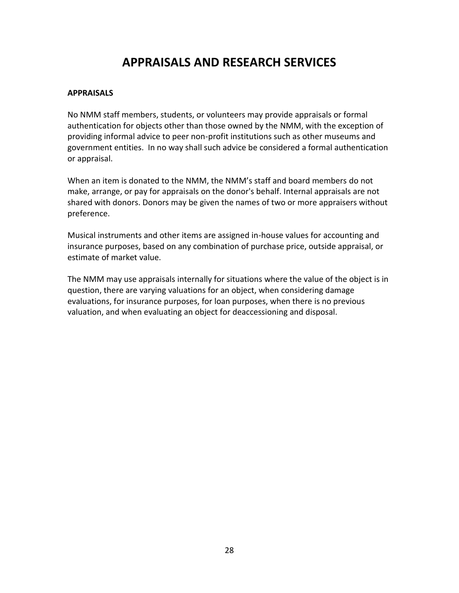# **APPRAISALS AND RESEARCH SERVICES**

#### <span id="page-27-0"></span>**APPRAISALS**

No NMM staff members, students, or volunteers may provide appraisals or formal authentication for objects other than those owned by the NMM, with the exception of providing informal advice to peer non-profit institutions such as other museums and government entities. In no way shall such advice be considered a formal authentication or appraisal.

When an item is donated to the NMM, the NMM's staff and board members do not make, arrange, or pay for appraisals on the donor's behalf. Internal appraisals are not shared with donors. Donors may be given the names of two or more appraisers without preference.

Musical instruments and other items are assigned in-house values for accounting and insurance purposes, based on any combination of purchase price, outside appraisal, or estimate of market value.

The NMM may use appraisals internally for situations where the value of the object is in question, there are varying valuations for an object, when considering damage evaluations, for insurance purposes, for loan purposes, when there is no previous valuation, and when evaluating an object for deaccessioning and disposal.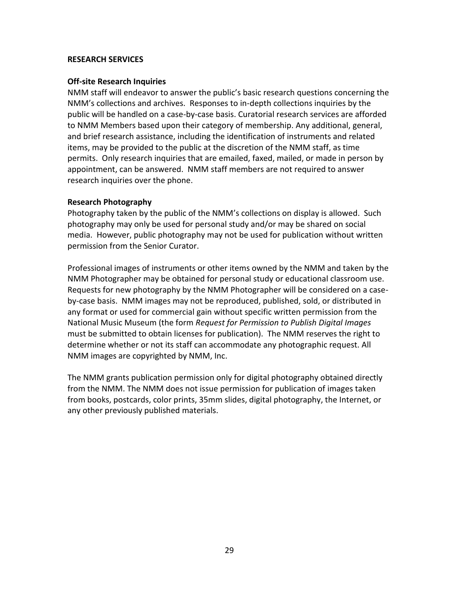#### **RESEARCH SERVICES**

#### **Off-site Research Inquiries**

NMM staff will endeavor to answer the public's basic research questions concerning the NMM's collections and archives. Responses to in-depth collections inquiries by the public will be handled on a case-by-case basis. Curatorial research services are afforded to NMM Members based upon their category of membership. Any additional, general, and brief research assistance, including the identification of instruments and related items, may be provided to the public at the discretion of the NMM staff, as time permits. Only research inquiries that are emailed, faxed, mailed, or made in person by appointment, can be answered. NMM staff members are not required to answer research inquiries over the phone.

#### **Research Photography**

Photography taken by the public of the NMM's collections on display is allowed. Such photography may only be used for personal study and/or may be shared on social media. However, public photography may not be used for publication without written permission from the Senior Curator.

Professional images of instruments or other items owned by the NMM and taken by the NMM Photographer may be obtained for personal study or educational classroom use. Requests for new photography by the NMM Photographer will be considered on a caseby-case basis. NMM images may not be reproduced, published, sold, or distributed in any format or used for commercial gain without specific written permission from the National Music Museum (the form *Request for Permission to Publish Digital Images* must be submitted to obtain licenses for publication). The NMM reserves the right to determine whether or not its staff can accommodate any photographic request. All NMM images are copyrighted by NMM, Inc.

The NMM grants publication permission only for digital photography obtained directly from the NMM. The NMM does not issue permission for publication of images taken from books, postcards, color prints, 35mm slides, digital photography, the Internet, or any other previously published materials.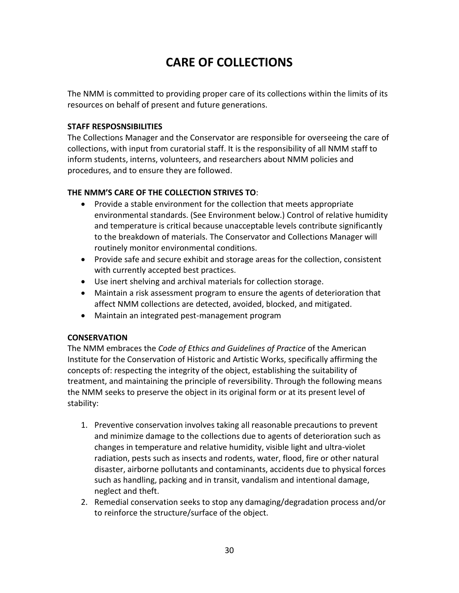# **CARE OF COLLECTIONS**

<span id="page-29-0"></span>The NMM is committed to providing proper care of its collections within the limits of its resources on behalf of present and future generations.

#### **STAFF RESPOSNSIBILITIES**

The Collections Manager and the Conservator are responsible for overseeing the care of collections, with input from curatorial staff. It is the responsibility of all NMM staff to inform students, interns, volunteers, and researchers about NMM policies and procedures, and to ensure they are followed.

#### **THE NMM'S CARE OF THE COLLECTION STRIVES TO**:

- Provide a stable environment for the collection that meets appropriate environmental standards. (See Environment below.) Control of relative humidity and temperature is critical because unacceptable levels contribute significantly to the breakdown of materials. The Conservator and Collections Manager will routinely monitor environmental conditions.
- Provide safe and secure exhibit and storage areas for the collection, consistent with currently accepted best practices.
- Use inert shelving and archival materials for collection storage.
- Maintain a risk assessment program to ensure the agents of deterioration that affect NMM collections are detected, avoided, blocked, and mitigated.
- Maintain an integrated pest-management program

#### **CONSERVATION**

The NMM embraces the *Code of Ethics and Guidelines of Practice* of the American Institute for the Conservation of Historic and Artistic Works, specifically affirming the concepts of: respecting the integrity of the object, establishing the suitability of treatment, and maintaining the principle of reversibility. Through the following means the NMM seeks to preserve the object in its original form or at its present level of stability:

- 1. Preventive conservation involves taking all reasonable precautions to prevent and minimize damage to the collections due to agents of deterioration such as changes in temperature and relative humidity, visible light and ultra-violet radiation, pests such as insects and rodents, water, flood, fire or other natural disaster, airborne pollutants and contaminants, accidents due to physical forces such as handling, packing and in transit, vandalism and intentional damage, neglect and theft.
- 2. Remedial conservation seeks to stop any damaging/degradation process and/or to reinforce the structure/surface of the object.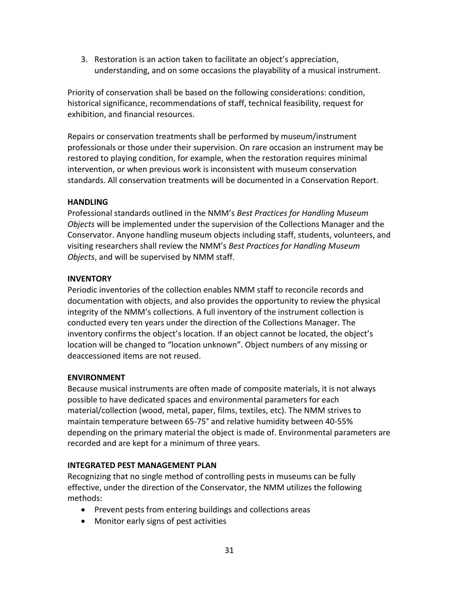3. Restoration is an action taken to facilitate an object's appreciation, understanding, and on some occasions the playability of a musical instrument.

Priority of conservation shall be based on the following considerations: condition, historical significance, recommendations of staff, technical feasibility, request for exhibition, and financial resources.

Repairs or conservation treatments shall be performed by museum/instrument professionals or those under their supervision. On rare occasion an instrument may be restored to playing condition, for example, when the restoration requires minimal intervention, or when previous work is inconsistent with museum conservation standards. All conservation treatments will be documented in a Conservation Report.

#### **HANDLING**

Professional standards outlined in the NMM's *Best Practices for Handling Museum Objects* will be implemented under the supervision of the Collections Manager and the Conservator. Anyone handling museum objects including staff, students, volunteers, and visiting researchers shall review the NMM's *Best Practices for Handling Museum Objects*, and will be supervised by NMM staff.

#### **INVENTORY**

Periodic inventories of the collection enables NMM staff to reconcile records and documentation with objects, and also provides the opportunity to review the physical integrity of the NMM's collections. A full inventory of the instrument collection is conducted every ten years under the direction of the Collections Manager. The inventory confirms the object's location. If an object cannot be located, the object's location will be changed to "location unknown". Object numbers of any missing or deaccessioned items are not reused.

#### **ENVIRONMENT**

Because musical instruments are often made of composite materials, it is not always possible to have dedicated spaces and environmental parameters for each material/collection (wood, metal, paper, films, textiles, etc). The NMM strives to maintain temperature between 65-75° and relative humidity between 40-55% depending on the primary material the object is made of. Environmental parameters are recorded and are kept for a minimum of three years.

#### **INTEGRATED PEST MANAGEMENT PLAN**

Recognizing that no single method of controlling pests in museums can be fully effective, under the direction of the Conservator, the NMM utilizes the following methods:

- Prevent pests from entering buildings and collections areas
- Monitor early signs of pest activities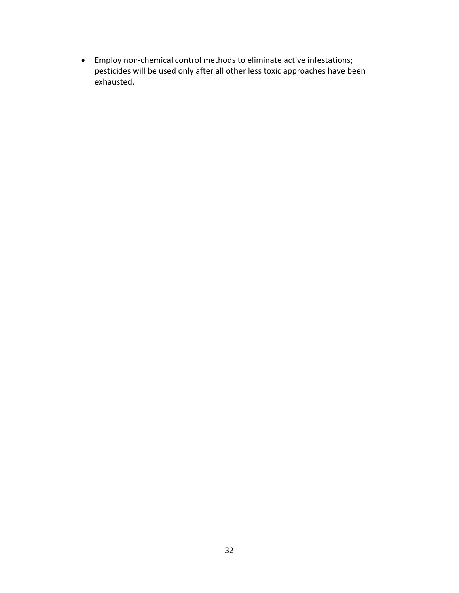Employ non-chemical control methods to eliminate active infestations; pesticides will be used only after all other less toxic approaches have been exhausted.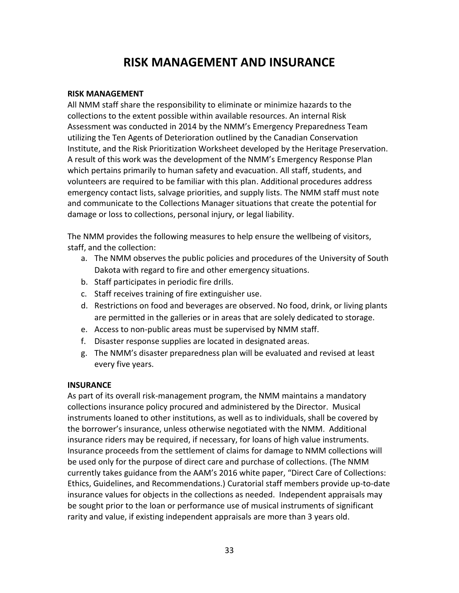## **RISK MANAGEMENT AND INSURANCE**

#### <span id="page-32-0"></span>**RISK MANAGEMENT**

All NMM staff share the responsibility to eliminate or minimize hazards to the collections to the extent possible within available resources. An internal Risk Assessment was conducted in 2014 by the NMM's Emergency Preparedness Team utilizing the Ten Agents of Deterioration outlined by the Canadian Conservation Institute, and the Risk Prioritization Worksheet developed by the Heritage Preservation. A result of this work was the development of the NMM's Emergency Response Plan which pertains primarily to human safety and evacuation. All staff, students, and volunteers are required to be familiar with this plan. Additional procedures address emergency contact lists, salvage priorities, and supply lists. The NMM staff must note and communicate to the Collections Manager situations that create the potential for damage or loss to collections, personal injury, or legal liability.

The NMM provides the following measures to help ensure the wellbeing of visitors, staff, and the collection:

- a. The NMM observes the public policies and procedures of the University of South Dakota with regard to fire and other emergency situations.
- b. Staff participates in periodic fire drills.
- c. Staff receives training of fire extinguisher use.
- d. Restrictions on food and beverages are observed. No food, drink, or living plants are permitted in the galleries or in areas that are solely dedicated to storage.
- e. Access to non-public areas must be supervised by NMM staff.
- f. Disaster response supplies are located in designated areas.
- g. The NMM's disaster preparedness plan will be evaluated and revised at least every five years.

#### **INSURANCE**

As part of its overall risk-management program, the NMM maintains a mandatory collections insurance policy procured and administered by the Director. Musical instruments loaned to other institutions, as well as to individuals, shall be covered by the borrower's insurance, unless otherwise negotiated with the NMM. Additional insurance riders may be required, if necessary, for loans of high value instruments. Insurance proceeds from the settlement of claims for damage to NMM collections will be used only for the purpose of direct care and purchase of collections. (The NMM currently takes guidance from the AAM's 2016 white paper, "Direct Care of Collections: Ethics, Guidelines, and Recommendations.) Curatorial staff members provide up-to-date insurance values for objects in the collections as needed. Independent appraisals may be sought prior to the loan or performance use of musical instruments of significant rarity and value, if existing independent appraisals are more than 3 years old.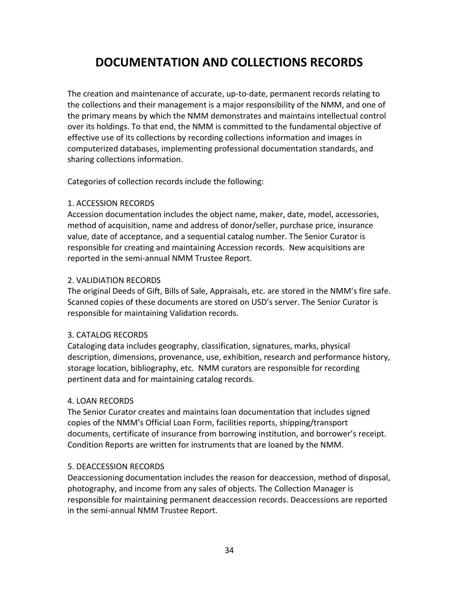# <span id="page-33-0"></span>**DOCUMENTATION AND COLLECTIONS RECORDS**

The creation and maintenance of accurate, up-to-date, permanent records relating to the collections and their management is a major responsibility of the NMM, and one of the primary means by which the NMM demonstrates and maintains intellectual control over its holdings. To that end, the NMM is committed to the fundamental objective of effective use of its collections by recording collections information and images in computerized databases, implementing professional documentation standards, and sharing collections information.

Categories of collection records include the following:

#### 1. ACCESSION RECORDS

Accession documentation includes the object name, maker, date, model, accessories, method of acquisition, name and address of donor/seller, purchase price, insurance value, date of acceptance, and a sequential catalog number. The Senior Curator is responsible for creating and maintaining Accession records. New acquisitions are reported in the semi-annual NMM Trustee Report.

#### 2. VALIDIATION RECORDS

The original Deeds of Gift, Bills of Sale, Appraisals, etc. are stored in the NMM's fire safe. Scanned copies of these documents are stored on USD's server. The Senior Curator is responsible for maintaining Validation records.

#### 3. CATALOG RECORDS

Cataloging data includes geography, classification, signatures, marks, physical description, dimensions, provenance, use, exhibition, research and performance history, storage location, bibliography, etc. NMM curators are responsible for recording pertinent data and for maintaining catalog records.

#### 4. LOAN RECORDS

The Senior Curator creates and maintains loan documentation that includes signed copies of the NMM's Official Loan Form, facilities reports, shipping/transport documents, certificate of insurance from borrowing institution, and borrower's receipt. Condition Reports are written for instruments that are loaned by the NMM.

#### 5. DEACCESSION RECORDS

Deaccessioning documentation includes the reason for deaccession, method of disposal, photography, and income from any sales of objects. The Collection Manager is responsible for maintaining permanent deaccession records. Deaccessions are reported in the semi-annual NMM Trustee Report.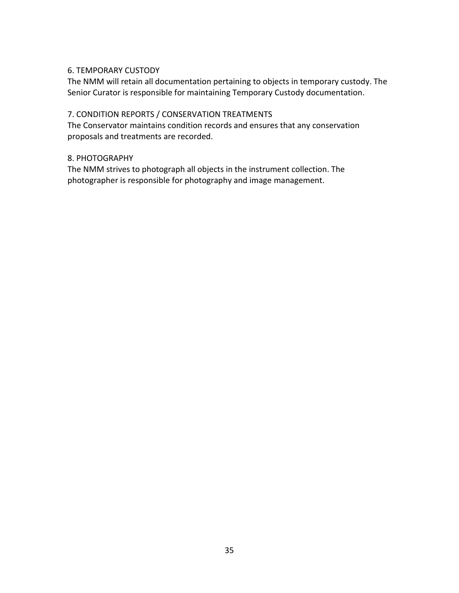#### 6. TEMPORARY CUSTODY

The NMM will retain all documentation pertaining to objects in temporary custody. The Senior Curator is responsible for maintaining Temporary Custody documentation.

#### 7. CONDITION REPORTS / CONSERVATION TREATMENTS

The Conservator maintains condition records and ensures that any conservation proposals and treatments are recorded.

#### 8. PHOTOGRAPHY

The NMM strives to photograph all objects in the instrument collection. The photographer is responsible for photography and image management.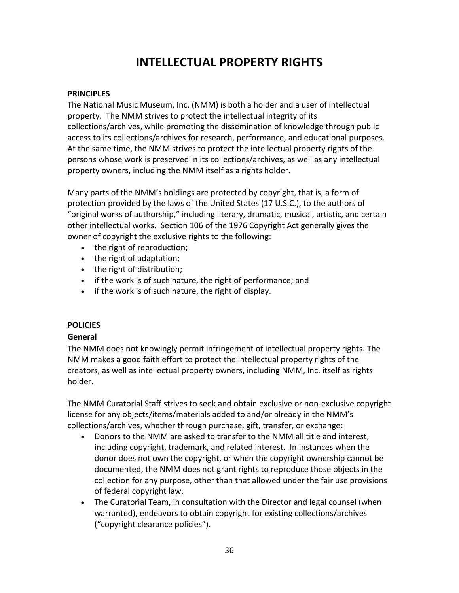# **INTELLECTUAL PROPERTY RIGHTS**

#### <span id="page-35-0"></span>**PRINCIPLES**

The National Music Museum, Inc. (NMM) is both a holder and a user of intellectual property. The NMM strives to protect the intellectual integrity of its collections/archives, while promoting the dissemination of knowledge through public access to its collections/archives for research, performance, and educational purposes. At the same time, the NMM strives to protect the intellectual property rights of the persons whose work is preserved in its collections/archives, as well as any intellectual property owners, including the NMM itself as a rights holder.

Many parts of the NMM's holdings are protected by copyright, that is, a form of protection provided by the laws of the United States (17 U.S.C.), to the authors of "original works of authorship," including literary, dramatic, musical, artistic, and certain other intellectual works. Section 106 of the 1976 Copyright Act generally gives the owner of copyright the exclusive rights to the following:

- the right of reproduction;
- the right of adaptation;
- the right of distribution;
- if the work is of such nature, the right of performance; and
- if the work is of such nature, the right of display.

#### **POLICIES**

#### **General**

The NMM does not knowingly permit infringement of intellectual property rights. The NMM makes a good faith effort to protect the intellectual property rights of the creators, as well as intellectual property owners, including NMM, Inc. itself as rights holder.

The NMM Curatorial Staff strives to seek and obtain exclusive or non-exclusive copyright license for any objects/items/materials added to and/or already in the NMM's collections/archives, whether through purchase, gift, transfer, or exchange:

- Donors to the NMM are asked to transfer to the NMM all title and interest, including copyright, trademark, and related interest. In instances when the donor does not own the copyright, or when the copyright ownership cannot be documented, the NMM does not grant rights to reproduce those objects in the collection for any purpose, other than that allowed under the fair use provisions of federal copyright law.
- The Curatorial Team, in consultation with the Director and legal counsel (when warranted), endeavors to obtain copyright for existing collections/archives ("copyright clearance policies").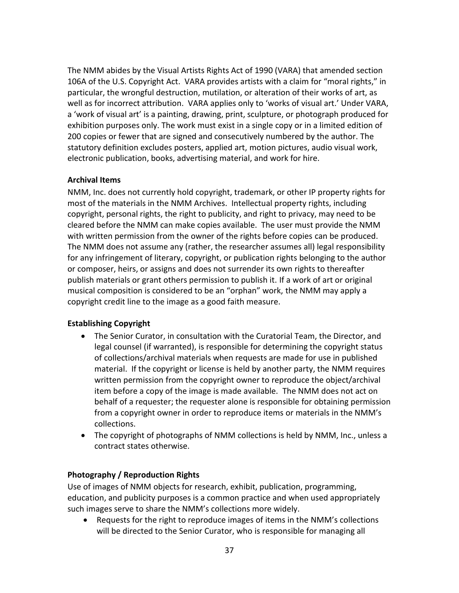The NMM abides by the Visual Artists Rights Act of 1990 (VARA) that amended section 106A of the U.S. Copyright Act. VARA provides artists with a claim for "moral rights," in particular, the wrongful destruction, mutilation, or alteration of their works of art, as well as for incorrect attribution. VARA applies only to 'works of visual art.' Under VARA, a 'work of visual art' is a painting, drawing, print, sculpture, or photograph produced for exhibition purposes only. The work must exist in a single copy or in a limited edition of 200 copies or fewer that are signed and consecutively numbered by the author. The statutory definition excludes posters, applied art, motion pictures, audio visual work, electronic publication, books, advertising material, and work for hire.

#### **Archival Items**

NMM, Inc. does not currently hold copyright, trademark, or other IP property rights for most of the materials in the NMM Archives. Intellectual property rights, including copyright, personal rights, the right to publicity, and right to privacy, may need to be cleared before the NMM can make copies available. The user must provide the NMM with written permission from the owner of the rights before copies can be produced. The NMM does not assume any (rather, the researcher assumes all) legal responsibility for any infringement of literary, copyright, or publication rights belonging to the author or composer, heirs, or assigns and does not surrender its own rights to thereafter publish materials or grant others permission to publish it. If a work of art or original musical composition is considered to be an "orphan" work, the NMM may apply a copyright credit line to the image as a good faith measure.

#### **Establishing Copyright**

- The Senior Curator, in consultation with the Curatorial Team, the Director, and legal counsel (if warranted), is responsible for determining the copyright status of collections/archival materials when requests are made for use in published material. If the copyright or license is held by another party, the NMM requires written permission from the copyright owner to reproduce the object/archival item before a copy of the image is made available. The NMM does not act on behalf of a requester; the requester alone is responsible for obtaining permission from a copyright owner in order to reproduce items or materials in the NMM's collections.
- The copyright of photographs of NMM collections is held by NMM, Inc., unless a contract states otherwise.

#### **Photography / Reproduction Rights**

Use of images of NMM objects for research, exhibit, publication, programming, education, and publicity purposes is a common practice and when used appropriately such images serve to share the NMM's collections more widely.

 Requests for the right to reproduce images of items in the NMM's collections will be directed to the Senior Curator, who is responsible for managing all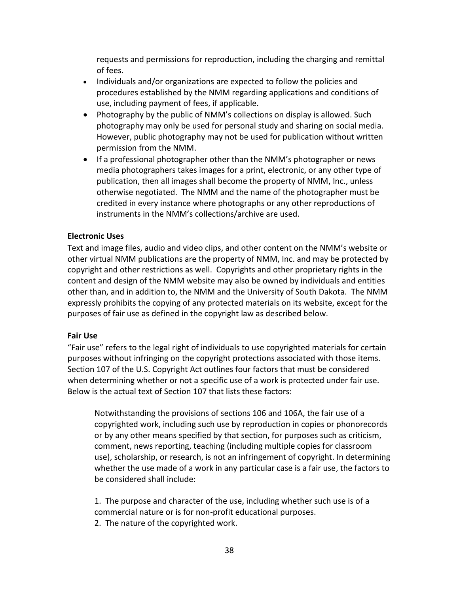requests and permissions for reproduction, including the charging and remittal of fees.

- Individuals and/or organizations are expected to follow the policies and procedures established by the NMM regarding applications and conditions of use, including payment of fees, if applicable.
- Photography by the public of NMM's collections on display is allowed. Such photography may only be used for personal study and sharing on social media. However, public photography may not be used for publication without written permission from the NMM.
- If a professional photographer other than the NMM's photographer or news media photographers takes images for a print, electronic, or any other type of publication, then all images shall become the property of NMM, Inc., unless otherwise negotiated. The NMM and the name of the photographer must be credited in every instance where photographs or any other reproductions of instruments in the NMM's collections/archive are used.

#### **Electronic Uses**

Text and image files, audio and video clips, and other content on the NMM's website or other virtual NMM publications are the property of NMM, Inc. and may be protected by copyright and other restrictions as well. Copyrights and other proprietary rights in the content and design of the NMM website may also be owned by individuals and entities other than, and in addition to, the NMM and the University of South Dakota. The NMM expressly prohibits the copying of any protected materials on its website, except for the purposes of fair use as defined in the copyright law as described below.

#### **Fair Use**

"Fair use" refers to the legal right of individuals to use copyrighted materials for certain purposes without infringing on the copyright protections associated with those items. Section 107 of the U.S. Copyright Act outlines four factors that must be considered when determining whether or not a specific use of a work is protected under fair use. Below is the actual text of Section 107 that lists these factors:

Notwithstanding the provisions of sections 106 and 106A, the fair use of a copyrighted work, including such use by reproduction in copies or phonorecords or by any other means specified by that section, for purposes such as criticism, comment, news reporting, teaching (including multiple copies for classroom use), scholarship, or research, is not an infringement of copyright. In determining whether the use made of a work in any particular case is a fair use, the factors to be considered shall include:

1. The purpose and character of the use, including whether such use is of a commercial nature or is for non-profit educational purposes.

2. The nature of the copyrighted work.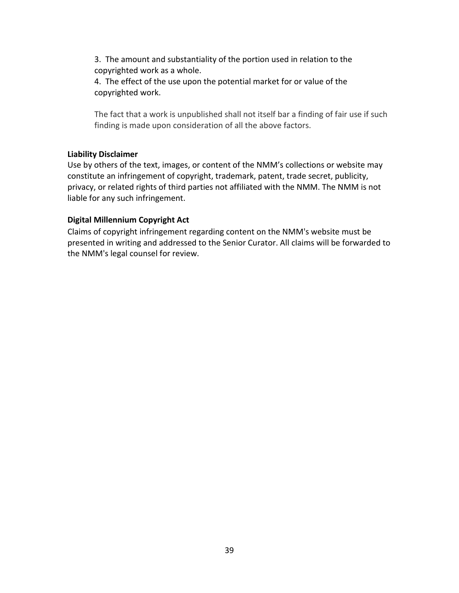3. The amount and substantiality of the portion used in relation to the copyrighted work as a whole.

4. The effect of the use upon the potential market for or value of the copyrighted work.

The fact that a work is unpublished shall not itself bar a finding of fair use if such finding is made upon consideration of all the above factors.

#### **Liability Disclaimer**

Use by others of the text, images, or content of the NMM's collections or website may constitute an infringement of copyright, trademark, patent, trade secret, publicity, privacy, or related rights of third parties not affiliated with the NMM. The NMM is not liable for any such infringement.

#### **Digital Millennium Copyright Act**

Claims of copyright infringement regarding content on the NMM's website must be presented in writing and addressed to the Senior Curator. All claims will be forwarded to the NMM's legal counsel for review.